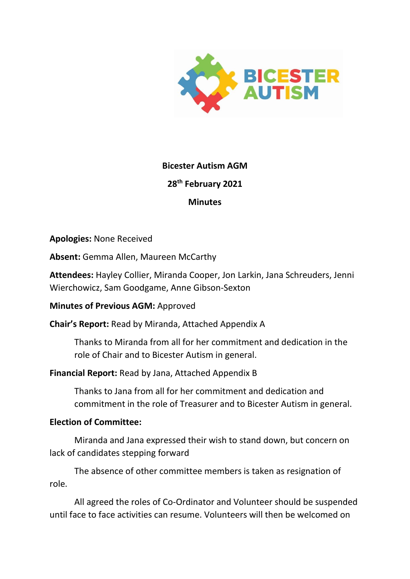

# **Bicester Autism AGM**

# **28th February 2021**

# **Minutes**

**Apologies:** None Received

**Absent:** Gemma Allen, Maureen McCarthy

**Attendees:** Hayley Collier, Miranda Cooper, Jon Larkin, Jana Schreuders, Jenni Wierchowicz, Sam Goodgame, Anne Gibson-Sexton

**Minutes of Previous AGM:** Approved

**Chair's Report:** Read by Miranda, Attached Appendix A

Thanks to Miranda from all for her commitment and dedication in the role of Chair and to Bicester Autism in general.

# **Financial Report:** Read by Jana, Attached Appendix B

Thanks to Jana from all for her commitment and dedication and commitment in the role of Treasurer and to Bicester Autism in general.

# **Election of Committee:**

Miranda and Jana expressed their wish to stand down, but concern on lack of candidates stepping forward

The absence of other committee members is taken as resignation of role.

All agreed the roles of Co-Ordinator and Volunteer should be suspended until face to face activities can resume. Volunteers will then be welcomed on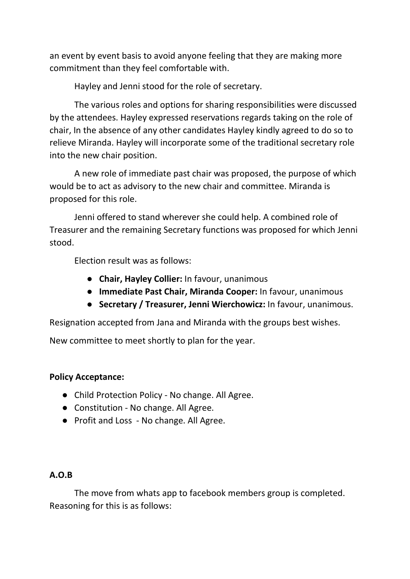an event by event basis to avoid anyone feeling that they are making more commitment than they feel comfortable with.

Hayley and Jenni stood for the role of secretary.

The various roles and options for sharing responsibilities were discussed by the attendees. Hayley expressed reservations regards taking on the role of chair, In the absence of any other candidates Hayley kindly agreed to do so to relieve Miranda. Hayley will incorporate some of the traditional secretary role into the new chair position.

A new role of immediate past chair was proposed, the purpose of which would be to act as advisory to the new chair and committee. Miranda is proposed for this role.

Jenni offered to stand wherever she could help. A combined role of Treasurer and the remaining Secretary functions was proposed for which Jenni stood.

Election result was as follows:

- **Chair, Hayley Collier:** In favour, unanimous
- **Immediate Past Chair, Miranda Cooper:** In favour, unanimous
- **Secretary / Treasurer, Jenni Wierchowicz:** In favour, unanimous.

Resignation accepted from Jana and Miranda with the groups best wishes.

New committee to meet shortly to plan for the year.

### **Policy Acceptance:**

- Child Protection Policy No change. All Agree.
- Constitution No change. All Agree.
- Profit and Loss No change. All Agree.

# **A.O.B**

The move from whats app to facebook members group is completed. Reasoning for this is as follows: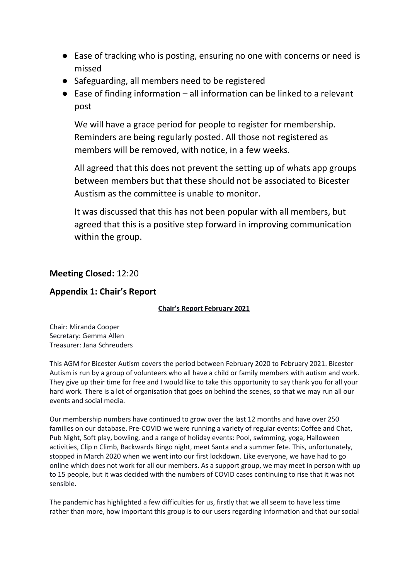- Ease of tracking who is posting, ensuring no one with concerns or need is missed
- Safeguarding, all members need to be registered
- $\bullet$  Ease of finding information all information can be linked to a relevant post

We will have a grace period for people to register for membership. Reminders are being regularly posted. All those not registered as members will be removed, with notice, in a few weeks.

All agreed that this does not prevent the setting up of whats app groups between members but that these should not be associated to Bicester Austism as the committee is unable to monitor.

It was discussed that this has not been popular with all members, but agreed that this is a positive step forward in improving communication within the group.

## **Meeting Closed:** 12:20

## **Appendix 1: Chair's Report**

### **Chair's Report February 2021**

Chair: Miranda Cooper Secretary: Gemma Allen Treasurer: Jana Schreuders

This AGM for Bicester Autism covers the period between February 2020 to February 2021. Bicester Autism is run by a group of volunteers who all have a child or family members with autism and work. They give up their time for free and I would like to take this opportunity to say thank you for all your hard work. There is a lot of organisation that goes on behind the scenes, so that we may run all our events and social media.

Our membership numbers have continued to grow over the last 12 months and have over 250 families on our database. Pre-COVID we were running a variety of regular events: Coffee and Chat, Pub Night, Soft play, bowling, and a range of holiday events: Pool, swimming, yoga, Halloween activities, Clip n Climb, Backwards Bingo night, meet Santa and a summer fete. This, unfortunately, stopped in March 2020 when we went into our first lockdown. Like everyone, we have had to go online which does not work for all our members. As a support group, we may meet in person with up to 15 people, but it was decided with the numbers of COVID cases continuing to rise that it was not sensible. 

The pandemic has highlighted a few difficulties for us, firstly that we all seem to have less time rather than more, how important this group is to our users regarding information and that our social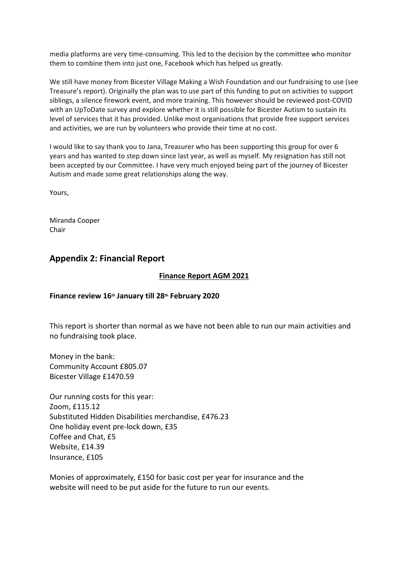media platforms are very time-consuming. This led to the decision by the committee who monitor them to combine them into just one, Facebook which has helped us greatly.

We still have money from Bicester Village Making a Wish Foundation and our fundraising to use (see Treasure's report). Originally the plan was to use part of this funding to put on activities to support siblings, a silence firework event, and more training. This however should be reviewed post-COVID with an UpToDate survey and explore whether it is still possible for Bicester Autism to sustain its level of services that it has provided. Unlike most organisations that provide free support services and activities, we are run by volunteers who provide their time at no cost.

I would like to say thank you to Jana, Treasurer who has been supporting this group for over 6 years and has wanted to step down since last year, as well as myself. My resignation has still not been accepted by our Committee. I have very much enjoyed being part of the journey of Bicester Autism and made some great relationships along the way.

Yours,

Miranda Cooper Chair

### **Appendix 2: Financial Report**

### **Finance Report AGM 2021**

### **Finance review 16th January till 28th February 2020**

This report is shorter than normal as we have not been able to run our main activities and no fundraising took place.

Money in the bank: Community Account £805.07 Bicester Village £1470.59

Our running costs for this year: Zoom, £115.12 Substituted Hidden Disabilities merchandise, £476.23 One holiday event pre-lock down, £35 Coffee and Chat, £5 Website, £14.39 Insurance, £105

Monies of approximately, £150 for basic cost per year for insurance and the website will need to be put aside for the future to run our events.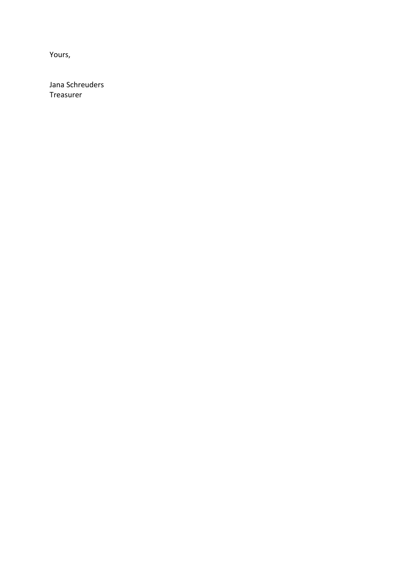Yours,

Jana Schreuders Treasurer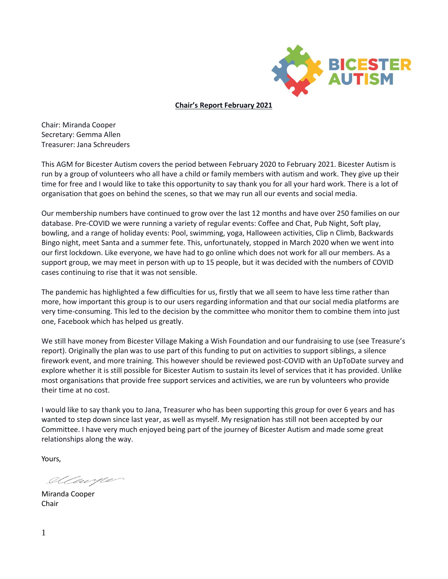

**Chair's Report February 2021**

Chair: Miranda Cooper Secretary: Gemma Allen Treasurer: Jana Schreuders

This AGM for Bicester Autism covers the period between February 2020 to February 2021. Bicester Autism is run by a group of volunteers who all have a child or family members with autism and work. They give up their time for free and I would like to take this opportunity to say thank you for all your hard work. There is a lot of organisation that goes on behind the scenes, so that we may run all our events and social media.

Our membership numbers have continued to grow over the last 12 months and have over 250 families on our database. Pre-COVID we were running a variety of regular events: Coffee and Chat, Pub Night, Soft play, bowling, and a range of holiday events: Pool, swimming, yoga, Halloween activities, Clip n Climb, Backwards Bingo night, meet Santa and a summer fete. This, unfortunately, stopped in March 2020 when we went into our first lockdown. Like everyone, we have had to go online which does not work for all our members. As a support group, we may meet in person with up to 15 people, but it was decided with the numbers of COVID cases continuing to rise that it was not sensible.

The pandemic has highlighted a few difficulties for us, firstly that we all seem to have less time rather than more, how important this group is to our users regarding information and that our social media platforms are very time-consuming. This led to the decision by the committee who monitor them to combine them into just one, Facebook which has helped us greatly.

We still have money from Bicester Village Making a Wish Foundation and our fundraising to use (see Treasure's report). Originally the plan was to use part of this funding to put on activities to support siblings, a silence firework event, and more training. This however should be reviewed post-COVID with an UpToDate survey and explore whether it is still possible for Bicester Autism to sustain its level of services that it has provided. Unlike most organisations that provide free support services and activities, we are run by volunteers who provide their time at no cost.

I would like to say thank you to Jana, Treasurer who has been supporting this group for over 6 years and has wanted to step down since last year, as well as myself. My resignation has still not been accepted by our Committee. I have very much enjoyed being part of the journey of Bicester Autism and made some great relationships along the way.

Yours,

Ollewyle

Miranda Cooper Chair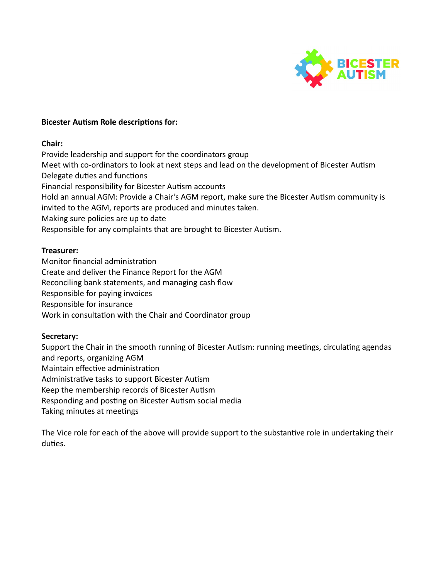

#### **Bicester Autism Role descriptions for:**

#### **Chair:**

Provide leadership and support for the coordinators group Meet with co-ordinators to look at next steps and lead on the development of Bicester Autism Delegate duties and functions Financial responsibility for Bicester Autism accounts Hold an annual AGM: Provide a Chair's AGM report, make sure the Bicester Autism community is invited to the AGM, reports are produced and minutes taken. Making sure policies are up to date Responsible for any complaints that are brought to Bicester Autism.

#### **Treasurer:**

Monitor financial administration Create and deliver the Finance Report for the AGM Reconciling bank statements, and managing cash flow Responsible for paying invoices Responsible for insurance Work in consultation with the Chair and Coordinator group

### **Secretary:**

Support the Chair in the smooth running of Bicester Autism: running meetings, circulating agendas and reports, organizing AGM Maintain effective administration Administrative tasks to support Bicester Autism Keep the membership records of Bicester Autism Responding and posting on Bicester Autism social media Taking minutes at meetings

The Vice role for each of the above will provide support to the substantive role in undertaking their duties.